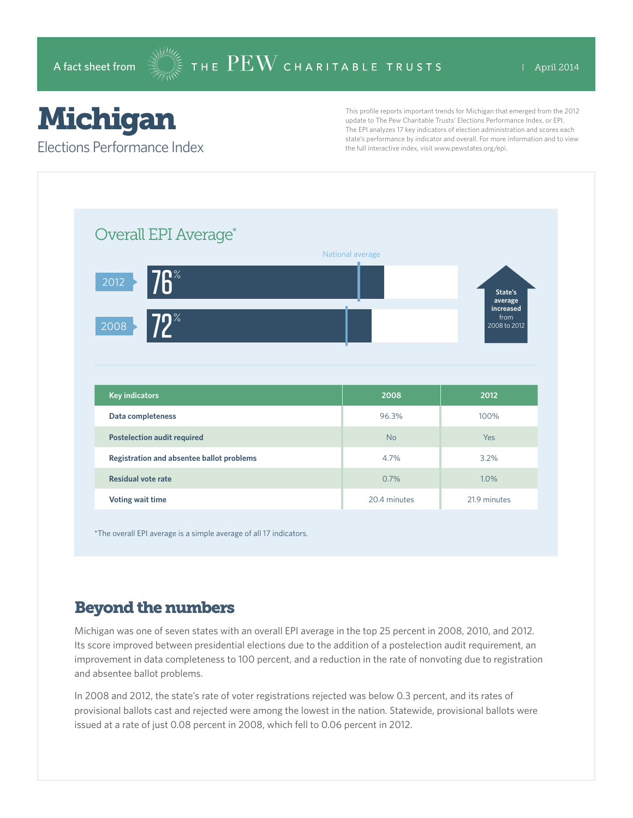# Michigan

Elections Performance Index

This profile reports important trends for Michigan that emerged from the 2012 update to The Pew Charitable Trusts' Elections Performance Index, or EPI. The EPI analyzes 17 key indicators of election administration and scores each state's performance by indicator and overall. For more information and to view the full interactive index, visit www.pewstates.org/epi.

| Overall EPI Average*                      |                  |                                              |
|-------------------------------------------|------------------|----------------------------------------------|
|                                           | National average |                                              |
| <b>76</b> %<br>2012                       |                  | State's                                      |
| $72^{\circ}$<br>2008                      |                  | average<br>increased<br>from<br>2008 to 2012 |
|                                           |                  |                                              |
|                                           |                  |                                              |
| <b>Key indicators</b>                     | 2008             | 2012                                         |
| Data completeness                         | 96.3%            | 100%                                         |
| <b>Postelection audit required</b>        | <b>No</b>        | Yes                                          |
| Registration and absentee ballot problems | 4.7%             | 3.2%                                         |
| <b>Residual vote rate</b>                 | 0.7%             | 1.0%                                         |

\*The overall EPI average is a simple average of all 17 indicators.

## Beyond the numbers

Michigan was one of seven states with an overall EPI average in the top 25 percent in 2008, 2010, and 2012. Its score improved between presidential elections due to the addition of a postelection audit requirement, an improvement in data completeness to 100 percent, and a reduction in the rate of nonvoting due to registration and absentee ballot problems.

In 2008 and 2012, the state's rate of voter registrations rejected was below 0.3 percent, and its rates of provisional ballots cast and rejected were among the lowest in the nation. Statewide, provisional ballots were issued at a rate of just 0.08 percent in 2008, which fell to 0.06 percent in 2012.